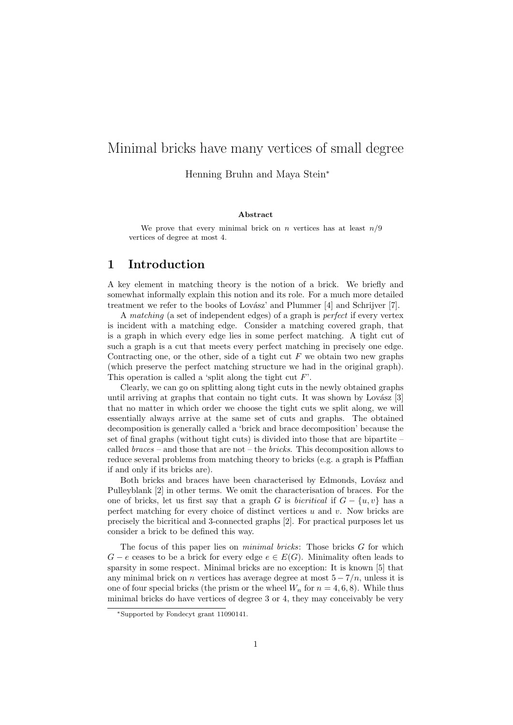# Minimal bricks have many vertices of small degree

Henning Bruhn and Maya Stein<sup>∗</sup>

#### Abstract

We prove that every minimal brick on n vertices has at least  $n/9$ vertices of degree at most 4.

## 1 Introduction

A key element in matching theory is the notion of a brick. We briefly and somewhat informally explain this notion and its role. For a much more detailed treatment we refer to the books of Lovász' and Plummer [4] and Schrijver [7].

A matching (a set of independent edges) of a graph is perfect if every vertex is incident with a matching edge. Consider a matching covered graph, that is a graph in which every edge lies in some perfect matching. A tight cut of such a graph is a cut that meets every perfect matching in precisely one edge. Contracting one, or the other, side of a tight cut  $F$  we obtain two new graphs (which preserve the perfect matching structure we had in the original graph). This operation is called a 'split along the tight cut  $F$ '.

Clearly, we can go on splitting along tight cuts in the newly obtained graphs until arriving at graphs that contain no tight cuts. It was shown by Lovász  $[3]$ that no matter in which order we choose the tight cuts we split along, we will essentially always arrive at the same set of cuts and graphs. The obtained decomposition is generally called a 'brick and brace decomposition' because the set of final graphs (without tight cuts) is divided into those that are bipartite  $$ called  $braces$  – and those that are not – the *bricks*. This decomposition allows to reduce several problems from matching theory to bricks (e.g. a graph is Pfaffian if and only if its bricks are).

Both bricks and braces have been characterised by Edmonds, Lovász and Pulleyblank [2] in other terms. We omit the characterisation of braces. For the one of bricks, let us first say that a graph G is *bicritical* if  $G - \{u, v\}$  has a perfect matching for every choice of distinct vertices  $u$  and  $v$ . Now bricks are precisely the bicritical and 3-connected graphs [2]. For practical purposes let us consider a brick to be defined this way.

The focus of this paper lies on minimal bricks: Those bricks G for which  $G - e$  ceases to be a brick for every edge  $e \in E(G)$ . Minimality often leads to sparsity in some respect. Minimal bricks are no exception: It is known [5] that any minimal brick on *n* vertices has average degree at most  $5 - \frac{7}{n}$ , unless it is one of four special bricks (the prism or the wheel  $W_n$  for  $n = 4, 6, 8$ ). While thus minimal bricks do have vertices of degree 3 or 4, they may conceivably be very

<sup>∗</sup>Supported by Fondecyt grant 11090141.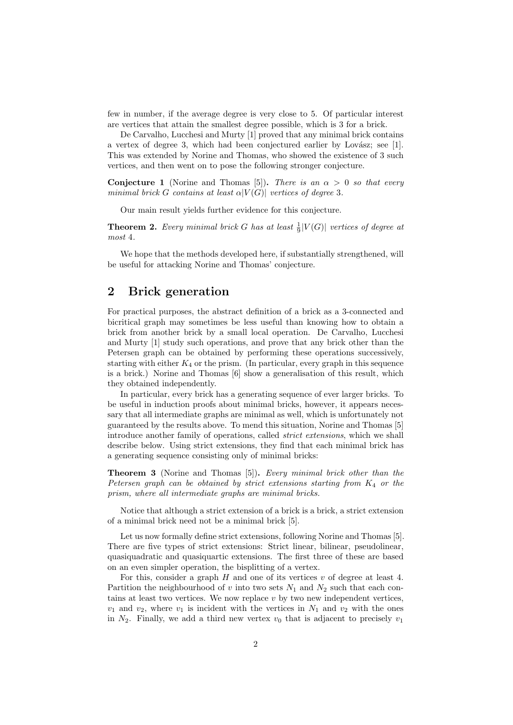few in number, if the average degree is very close to 5. Of particular interest are vertices that attain the smallest degree possible, which is 3 for a brick.

De Carvalho, Lucchesi and Murty [1] proved that any minimal brick contains a vertex of degree 3, which had been conjectured earlier by Lovász; see  $[1]$ . This was extended by Norine and Thomas, who showed the existence of 3 such vertices, and then went on to pose the following stronger conjecture.

**Conjecture 1** (Norine and Thomas [5]). There is an  $\alpha > 0$  so that every minimal brick G contains at least  $\alpha|V(G)|$  vertices of degree 3.

Our main result yields further evidence for this conjecture.

**Theorem 2.** Every minimal brick G has at least  $\frac{1}{9}|V(G)|$  vertices of degree at most 4.

We hope that the methods developed here, if substantially strengthened, will be useful for attacking Norine and Thomas' conjecture.

# 2 Brick generation

For practical purposes, the abstract definition of a brick as a 3-connected and bicritical graph may sometimes be less useful than knowing how to obtain a brick from another brick by a small local operation. De Carvalho, Lucchesi and Murty [1] study such operations, and prove that any brick other than the Petersen graph can be obtained by performing these operations successively, starting with either  $K_4$  or the prism. (In particular, every graph in this sequence is a brick.) Norine and Thomas [6] show a generalisation of this result, which they obtained independently.

In particular, every brick has a generating sequence of ever larger bricks. To be useful in induction proofs about minimal bricks, however, it appears necessary that all intermediate graphs are minimal as well, which is unfortunately not guaranteed by the results above. To mend this situation, Norine and Thomas [5] introduce another family of operations, called *strict extensions*, which we shall describe below. Using strict extensions, they find that each minimal brick has a generating sequence consisting only of minimal bricks:

**Theorem 3** (Norine and Thomas [5]). Every minimal brick other than the Petersen graph can be obtained by strict extensions starting from  $K_4$  or the prism, where all intermediate graphs are minimal bricks.

Notice that although a strict extension of a brick is a brick, a strict extension of a minimal brick need not be a minimal brick [5].

Let us now formally define strict extensions, following Norine and Thomas [5]. There are five types of strict extensions: Strict linear, bilinear, pseudolinear, quasiquadratic and quasiquartic extensions. The first three of these are based on an even simpler operation, the bisplitting of a vertex.

For this, consider a graph  $H$  and one of its vertices  $v$  of degree at least 4. Partition the neighbourhood of v into two sets  $N_1$  and  $N_2$  such that each contains at least two vertices. We now replace  $v$  by two new independent vertices,  $v_1$  and  $v_2$ , where  $v_1$  is incident with the vertices in  $N_1$  and  $v_2$  with the ones in  $N_2$ . Finally, we add a third new vertex  $v_0$  that is adjacent to precisely  $v_1$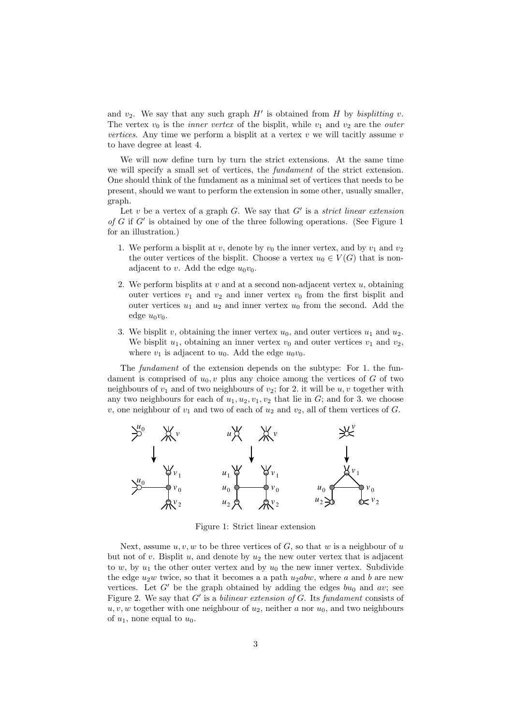and  $v_2$ . We say that any such graph  $H'$  is obtained from H by bisplitting v. The vertex  $v_0$  is the *inner vertex* of the bisplit, while  $v_1$  and  $v_2$  are the *outer* vertices. Any time we perform a bisplit at a vertex  $v$  we will tacitly assume  $v$ to have degree at least 4.

We will now define turn by turn the strict extensions. At the same time we will specify a small set of vertices, the fundament of the strict extension. One should think of the fundament as a minimal set of vertices that needs to be present, should we want to perform the extension in some other, usually smaller, graph.

Let  $v$  be a vertex of a graph  $G$ . We say that  $G'$  is a strict linear extension of  $G$  if  $G'$  is obtained by one of the three following operations. (See Figure 1 for an illustration.)

- 1. We perform a bisplit at v, denote by  $v_0$  the inner vertex, and by  $v_1$  and  $v_2$ the outer vertices of the bisplit. Choose a vertex  $u_0 \in V(G)$  that is nonadjacent to v. Add the edge  $u_0v_0$ .
- 2. We perform bisplits at v and at a second non-adjacent vertex  $u$ , obtaining outer vertices  $v_1$  and  $v_2$  and inner vertex  $v_0$  from the first bisplit and outer vertices  $u_1$  and  $u_2$  and inner vertex  $u_0$  from the second. Add the edge  $u_0v_0$ .
- 3. We bisplit v, obtaining the inner vertex  $u_0$ , and outer vertices  $u_1$  and  $u_2$ . We bisplit  $u_1$ , obtaining an inner vertex  $v_0$  and outer vertices  $v_1$  and  $v_2$ , where  $v_1$  is adjacent to  $u_0$ . Add the edge  $u_0v_0$ .

The fundament of the extension depends on the subtype: For 1. the fundament is comprised of  $u_0, v$  plus any choice among the vertices of G of two neighbours of  $v_1$  and of two neighbours of  $v_2$ ; for 2. it will be  $u, v$  together with any two neighbours for each of  $u_1, u_2, v_1, v_2$  that lie in  $G$ ; and for 3. we choose v, one neighbour of  $v_1$  and two of each of  $u_2$  and  $v_2$ , all of them vertices of G.



Figure 1: Strict linear extension

Next, assume  $u, v, w$  to be three vertices of  $G$ , so that w is a neighbour of u but not of v. Bisplit  $u$ , and denote by  $u_2$  the new outer vertex that is adjacent to w, by  $u_1$  the other outer vertex and by  $u_0$  the new inner vertex. Subdivide the edge  $u_2w$  twice, so that it becomes a a path  $u_2abw$ , where a and b are new vertices. Let  $G'$  be the graph obtained by adding the edges  $bu_0$  and av; see Figure 2. We say that  $G'$  is a bilinear extension of  $G$ . Its fundament consists of  $u, v, w$  together with one neighbour of  $u_2$ , neither a nor  $u_0$ , and two neighbours of  $u_1$ , none equal to  $u_0$ .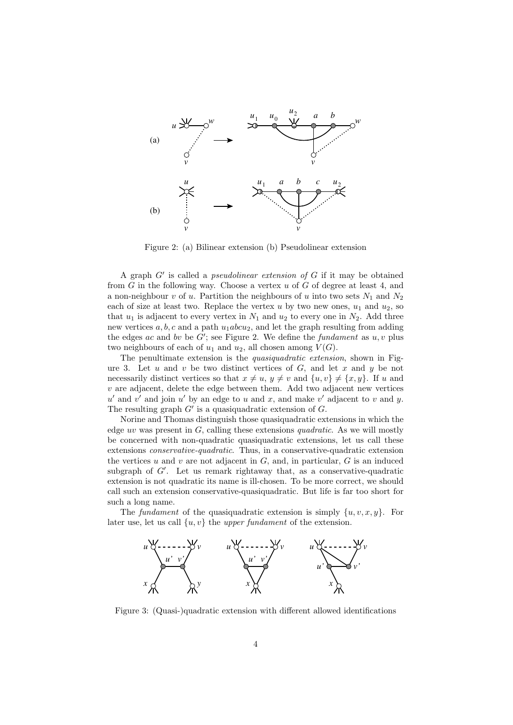

Figure 2: (a) Bilinear extension (b) Pseudolinear extension

A graph  $G'$  is called a *pseudolinear extension of*  $G$  if it may be obtained from  $G$  in the following way. Choose a vertex  $u$  of  $G$  of degree at least 4, and a non-neighbour v of u. Partition the neighbours of u into two sets  $N_1$  and  $N_2$ each of size at least two. Replace the vertex u by two new ones,  $u_1$  and  $u_2$ , so that  $u_1$  is adjacent to every vertex in  $N_1$  and  $u_2$  to every one in  $N_2$ . Add three new vertices  $a, b, c$  and a path  $u_1abcu_2$ , and let the graph resulting from adding the edges ac and by be  $G'$ ; see Figure 2. We define the fundament as  $u, v$  plus two neighbours of each of  $u_1$  and  $u_2$ , all chosen among  $V(G)$ .

The penultimate extension is the quasiquadratic extension, shown in Figure 3. Let  $u$  and  $v$  be two distinct vertices of  $G$ , and let  $x$  and  $y$  be not necessarily distinct vertices so that  $x \neq u, y \neq v$  and  $\{u, v\} \neq \{x, y\}$ . If u and  $v$  are adjacent, delete the edge between them. Add two adjacent new vertices  $u'$  and  $v'$  and join  $u'$  by an edge to u and x, and make  $v'$  adjacent to v and y. The resulting graph  $G'$  is a quasiquadratic extension of  $G$ .

Norine and Thomas distinguish those quasiquadratic extensions in which the edge uv was present in  $G$ , calling these extensions quadratic. As we will mostly be concerned with non-quadratic quasiquadratic extensions, let us call these extensions conservative-quadratic. Thus, in a conservative-quadratic extension the vertices u and v are not adjacent in  $G$ , and, in particular,  $G$  is an induced subgraph of  $G'$ . Let us remark rightaway that, as a conservative-quadratic extension is not quadratic its name is ill-chosen. To be more correct, we should call such an extension conservative-quasiquadratic. But life is far too short for such a long name.

The fundament of the quasiquadratic extension is simply  $\{u, v, x, y\}$ . For later use, let us call  $\{u, v\}$  the upper fundament of the extension.



Figure 3: (Quasi-)quadratic extension with different allowed identifications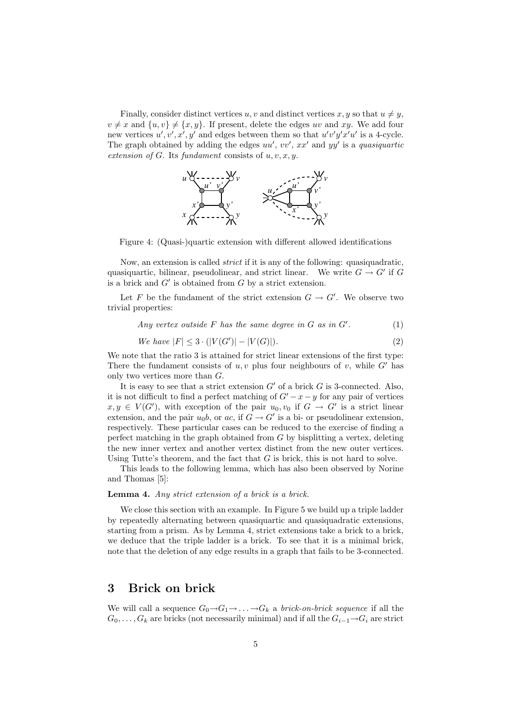Finally, consider distinct vertices u, v and distinct vertices x, y so that  $u \neq y$ ,  $v \neq x$  and  $\{u, v\} \neq \{x, y\}$ . If present, delete the edges uv and xy. We add four new vertices  $u', v', x', y'$  and edges between them so that  $u'v'y'x'u'$  is a 4-cycle. The graph obtained by adding the edges  $uu', vv', xx'$  and  $yy'$  is a quasiquartic extension of G. Its fundament consists of  $u, v, x, y$ .



Figure 4: (Quasi-)quartic extension with different allowed identifications

Now, an extension is called strict if it is any of the following: quasiquadratic, quasiquartic, bilinear, pseudolinear, and strict linear. We write  $G \to G'$  if G is a brick and  $G'$  is obtained from  $G$  by a strict extension.

Let F be the fundament of the strict extension  $G \to G'$ . We observe two trivial properties:

Any vertex outside  $F$  has the same degree in  $G$  as in  $G'$ .  $(1)$ 

We have 
$$
|F| \le 3 \cdot (|V(G')| - |V(G)|)
$$
. (2)

We note that the ratio 3 is attained for strict linear extensions of the first type: There the fundament consists of  $u, v$  plus four neighbours of v, while G' has only two vertices more than G.

It is easy to see that a strict extension  $G'$  of a brick G is 3-connected. Also, it is not difficult to find a perfect matching of  $G' - x - y$  for any pair of vertices  $x, y \in V(G')$ , with exception of the pair  $u_0, v_0$  if  $G \to G'$  is a strict linear extension, and the pair  $u_0b$ , or  $ac$ , if  $G \to G'$  is a bi- or pseudolinear extension, respectively. These particular cases can be reduced to the exercise of finding a perfect matching in the graph obtained from G by bisplitting a vertex, deleting the new inner vertex and another vertex distinct from the new outer vertices. Using Tutte's theorem, and the fact that  $G$  is brick, this is not hard to solve.

This leads to the following lemma, which has also been observed by Norine and Thomas [5]:

#### Lemma 4. Any strict extension of a brick is a brick.

We close this section with an example. In Figure 5 we build up a triple ladder by repeatedly alternating between quasiquartic and quasiquadratic extensions, starting from a prism. As by Lemma 4, strict extensions take a brick to a brick, we deduce that the triple ladder is a brick. To see that it is a minimal brick, note that the deletion of any edge results in a graph that fails to be 3-connected.

### 3 Brick on brick

We will call a sequence  $G_0 \rightarrow G_1 \rightarrow \ldots \rightarrow G_k$  a *brick-on-brick sequence* if all the  $G_0, \ldots, G_k$  are bricks (not necessarily minimal) and if all the  $G_{i-1} \rightarrow G_i$  are strict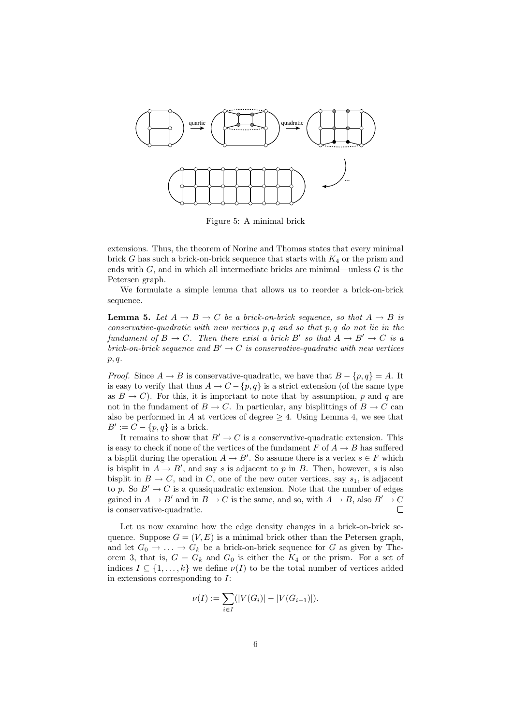

Figure 5: A minimal brick

extensions. Thus, the theorem of Norine and Thomas states that every minimal brick G has such a brick-on-brick sequence that starts with  $K_4$  or the prism and ends with  $G$ , and in which all intermediate bricks are minimal—unless  $G$  is the Petersen graph.

We formulate a simple lemma that allows us to reorder a brick-on-brick sequence.

**Lemma 5.** Let  $A \rightarrow B \rightarrow C$  be a brick-on-brick sequence, so that  $A \rightarrow B$  is conservative-quadratic with new vertices  $p, q$  and so that  $p, q$  do not lie in the fundament of  $B \to C$ . Then there exist a brick B' so that  $A \to B' \to C$  is a brick-on-brick sequence and  $B' \to C$  is conservative-quadratic with new vertices  $p, q$ .

*Proof.* Since  $A \to B$  is conservative-quadratic, we have that  $B - \{p, q\} = A$ . It is easy to verify that thus  $A \to C - \{p, q\}$  is a strict extension (of the same type as  $B \to C$ ). For this, it is important to note that by assumption, p and q are not in the fundament of  $B \to C$ . In particular, any bisplittings of  $B \to C$  can also be performed in A at vertices of degree  $\geq 4$ . Using Lemma 4, we see that  $B' := C - \{p, q\}$  is a brick.

It remains to show that  $B' \to C$  is a conservative-quadratic extension. This is easy to check if none of the vertices of the fundament F of  $A \rightarrow B$  has suffered a bisplit during the operation  $A \to B'$ . So assume there is a vertex  $s \in F$  which is bisplit in  $A \to B'$ , and say s is adjacent to p in B. Then, however, s is also bisplit in  $B \to C$ , and in C, one of the new outer vertices, say  $s_1$ , is adjacent to p. So  $B' \rightarrow C$  is a quasiquadratic extension. Note that the number of edges gained in  $A \to B'$  and in  $B \to C$  is the same, and so, with  $A \to B$ , also  $B' \to C$ is conservative-quadratic.  $\Box$ 

Let us now examine how the edge density changes in a brick-on-brick sequence. Suppose  $G = (V, E)$  is a minimal brick other than the Petersen graph, and let  $G_0 \to \ldots \to G_k$  be a brick-on-brick sequence for G as given by Theorem 3, that is,  $G = G_k$  and  $G_0$  is either the  $K_4$  or the prism. For a set of indices  $I \subseteq \{1, \ldots, k\}$  we define  $\nu(I)$  to be the total number of vertices added in extensions corresponding to  $I$ :

$$
\nu(I) := \sum_{i \in I} (|V(G_i)| - |V(G_{i-1})|).
$$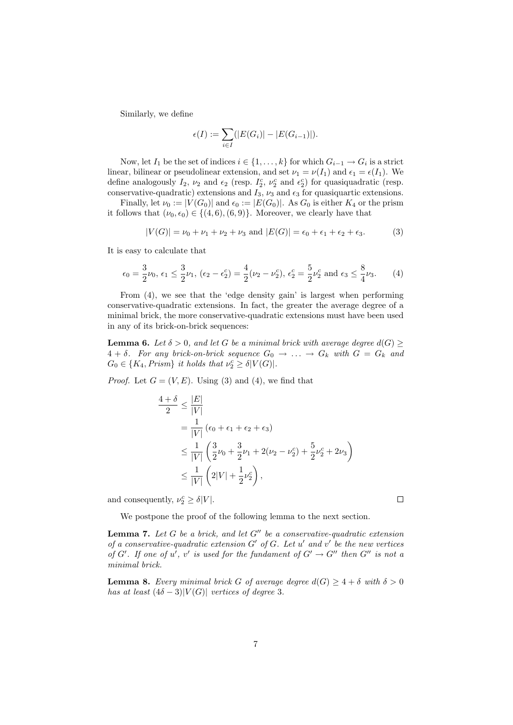Similarly, we define

$$
\epsilon(I) := \sum_{i \in I} (|E(G_i)| - |E(G_{i-1})|).
$$

Now, let  $I_1$  be the set of indices  $i \in \{1, \ldots, k\}$  for which  $G_{i-1} \to G_i$  is a strict linear, bilinear or pseudolinear extension, and set  $\nu_1 = \nu(I_1)$  and  $\epsilon_1 = \epsilon(I_1)$ . We define analogously  $I_2$ ,  $\nu_2$  and  $\epsilon_2$  (resp.  $I_2^c$ ,  $\nu_2^c$  and  $\epsilon_2^c$ ) for quasiquadratic (resp. conservative-quadratic) extensions and  $I_3$ ,  $\nu_3$  and  $\epsilon_3$  for quasiquartic extensions.

Finally, let  $\nu_0 := |V(G_0)|$  and  $\epsilon_0 := |E(G_0)|$ . As  $G_0$  is either  $K_4$  or the prism it follows that  $(\nu_0, \epsilon_0) \in \{(4, 6), (6, 9)\}.$  Moreover, we clearly have that

$$
|V(G)| = \nu_0 + \nu_1 + \nu_2 + \nu_3 \text{ and } |E(G)| = \epsilon_0 + \epsilon_1 + \epsilon_2 + \epsilon_3. \tag{3}
$$

It is easy to calculate that

$$
\epsilon_0 = \frac{3}{2}\nu_0, \ \epsilon_1 \le \frac{3}{2}\nu_1, \ (\epsilon_2 - \epsilon_2^c) = \frac{4}{2}(\nu_2 - \nu_2^c), \ \epsilon_2^c = \frac{5}{2}\nu_2^c \text{ and } \ \epsilon_3 \le \frac{8}{4}\nu_3. \tag{4}
$$

From (4), we see that the 'edge density gain' is largest when performing conservative-quadratic extensions. In fact, the greater the average degree of a minimal brick, the more conservative-quadratic extensions must have been used in any of its brick-on-brick sequences:

**Lemma 6.** Let  $\delta > 0$ , and let G be a minimal brick with average degree  $d(G) \geq$  $4 + \delta$ . For any brick-on-brick sequence  $G_0 \rightarrow \ldots \rightarrow G_k$  with  $G = G_k$  and  $G_0 \in \{K_4, Prism\}$  it holds that  $\nu_2^c \geq \delta |V(G)|$ .

*Proof.* Let  $G = (V, E)$ . Using (3) and (4), we find that

$$
\frac{4+\delta}{2} \le \frac{|E|}{|V|} \n= \frac{1}{|V|} (\epsilon_0 + \epsilon_1 + \epsilon_2 + \epsilon_3) \n\le \frac{1}{|V|} \left( \frac{3}{2}\nu_0 + \frac{3}{2}\nu_1 + 2(\nu_2 - \nu_2) + \frac{5}{2}\nu_2^c + 2\nu_3 \right) \n\le \frac{1}{|V|} \left( 2|V| + \frac{1}{2}\nu_2^c \right),
$$

and consequently,  $\nu_2^c \ge \delta |V|$ .

We postpone the proof of the following lemma to the next section.

**Lemma 7.** Let G be a brick, and let  $G''$  be a conservative-quadratic extension of a conservative-quadratic extension  $G'$  of  $G$ . Let  $u'$  and  $v'$  be the new vertices of G'. If one of u', v' is used for the fundament of  $G' \to G''$  then  $G''$  is not a minimal brick.

**Lemma 8.** Every minimal brick G of average degree  $d(G) \geq 4 + \delta$  with  $\delta > 0$ has at least  $(4\delta - 3)|V(G)|$  vertices of degree 3.

 $\Box$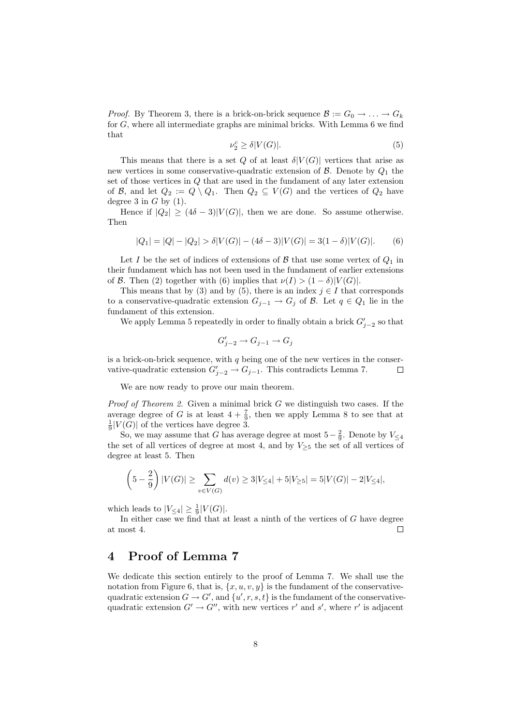*Proof.* By Theorem 3, there is a brick-on-brick sequence  $\mathcal{B} := G_0 \to \ldots \to G_k$ for G, where all intermediate graphs are minimal bricks. With Lemma 6 we find that

$$
\nu_2^c \ge \delta |V(G)|. \tag{5}
$$

This means that there is a set Q of at least  $\delta |V(G)|$  vertices that arise as new vertices in some conservative-quadratic extension of  $\mathcal{B}$ . Denote by  $Q_1$  the set of those vertices in  $Q$  that are used in the fundament of any later extension of B, and let  $Q_2 := Q \setminus Q_1$ . Then  $Q_2 \subseteq V(G)$  and the vertices of  $Q_2$  have degree 3 in  $G$  by (1).

Hence if  $|Q_2| \geq (4\delta - 3)|V(G)|$ , then we are done. So assume otherwise. Then

$$
|Q_1| = |Q| - |Q_2| > \delta |V(G)| - (4\delta - 3)|V(G)| = 3(1 - \delta)|V(G)|.
$$
 (6)

Let I be the set of indices of extensions of B that use some vertex of  $Q_1$  in their fundament which has not been used in the fundament of earlier extensions of B. Then (2) together with (6) implies that  $\nu(I) > (1 - \delta)|V(G)|$ .

This means that by (3) and by (5), there is an index  $j \in I$  that corresponds to a conservative-quadratic extension  $G_{j-1} \to G_j$  of  $\mathcal{B}$ . Let  $q \in Q_1$  lie in the fundament of this extension.

We apply Lemma 5 repeatedly in order to finally obtain a brick  $G'_{j-2}$  so that

$$
G'_{j-2} \to G_{j-1} \to G_j
$$

is a brick-on-brick sequence, with  $q$  being one of the new vertices in the conservative-quadratic extension  $G'_{j-2} \to G_{j-1}$ . This contradicts Lemma 7.  $\Box$ 

We are now ready to prove our main theorem.

*Proof of Theorem 2.* Given a minimal brick  $G$  we distinguish two cases. If the average degree of G is at least  $4 + \frac{7}{9}$ , then we apply Lemma 8 to see that at  $\frac{1}{9}|V(G)|$  of the vertices have degree 3.

So, we may assume that G has average degree at most  $5-\frac{2}{9}$ . Denote by  $V_{\leq 4}$ the set of all vertices of degree at most 4, and by  $V_{\geq 5}$  the set of all vertices of degree at least 5. Then

$$
\left(5 - \frac{2}{9}\right)|V(G)| \ge \sum_{v \in V(G)} d(v) \ge 3|V_{\le 4}| + 5|V_{\ge 5}| = 5|V(G)| - 2|V_{\le 4}|,
$$

which leads to  $|V_{\leq 4}| \geq \frac{1}{9}|V(G)|$ .

In either case we find that at least a ninth of the vertices of G have degree at most 4.  $\Box$ 

# 4 Proof of Lemma 7

We dedicate this section entirely to the proof of Lemma 7. We shall use the notation from Figure 6, that is,  $\{x, u, v, y\}$  is the fundament of the conservativequadratic extension  $G \to G'$ , and  $\{u', r, s, t\}$  is the fundament of the conservativequadratic extension  $G' \to G''$ , with new vertices r' and s', where r' is adjacent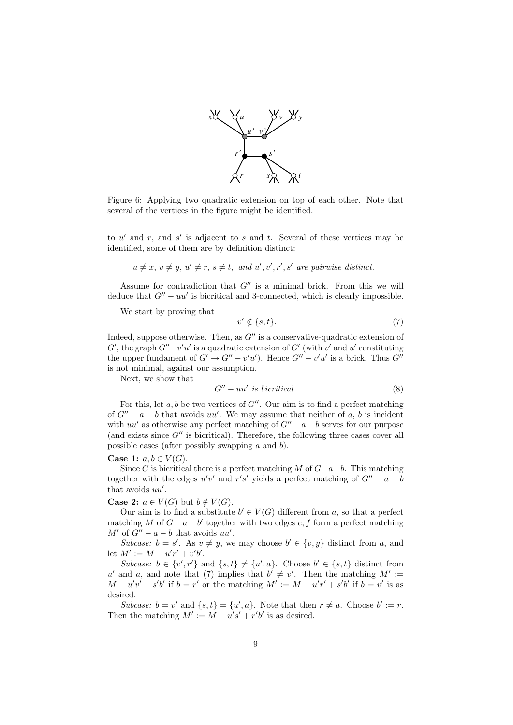

Figure 6: Applying two quadratic extension on top of each other. Note that several of the vertices in the figure might be identified.

to  $u'$  and  $r$ , and  $s'$  is adjacent to s and t. Several of these vertices may be identified, some of them are by definition distinct:

$$
u \neq x, v \neq y, u' \neq r, s \neq t, and u', v', r', s'
$$
 are pairwise distinct.

Assume for contradiction that  $G''$  is a minimal brick. From this we will deduce that  $G'' - uu'$  is bicritical and 3-connected, which is clearly impossible.

We start by proving that

$$
v' \notin \{s, t\}.\tag{7}
$$

Indeed, suppose otherwise. Then, as  $G''$  is a conservative-quadratic extension of  $G'$ , the graph  $G''-v'u'$  is a quadratic extension of  $G'$  (with v' and u' constituting the upper fundament of  $G' \to G'' - v'u'$ . Hence  $G'' - v'u'$  is a brick. Thus  $G''$ is not minimal, against our assumption.

Next, we show that

$$
G'' - uu' \text{ is birritical.} \tag{8}
$$

For this, let  $a, b$  be two vertices of  $G''$ . Our aim is to find a perfect matching of  $G'' - a - b$  that avoids uu'. We may assume that neither of a, b is incident with  $uu'$  as otherwise any perfect matching of  $G'' - a - b$  serves for our purpose (and exists since  $G''$  is bicritical). Therefore, the following three cases cover all possible cases (after possibly swapping  $a$  and  $b$ ).

#### Case 1:  $a, b \in V(G)$ .

Since G is bicritical there is a perfect matching M of  $G-a-b$ . This matching together with the edges  $u'v'$  and  $r's'$  yields a perfect matching of  $G'' - a - b$ that avoids  $uu'$ .

**Case 2:**  $a \in V(G)$  but  $b \notin V(G)$ .

Our aim is to find a substitute  $b' \in V(G)$  different from a, so that a perfect matching M of  $G - a - b'$  together with two edges e, f form a perfect matching  $M'$  of  $G'' - a - b$  that avoids  $uu'$ .

Subcase:  $b = s'$ . As  $v \neq y$ , we may choose  $b' \in \{v, y\}$  distinct from a, and let  $M' := M + u'r' + v'b'.$ 

Subcase:  $b \in \{v', r'\}$  and  $\{s, t\} \neq \{u', a\}$ . Choose  $b' \in \{s, t\}$  distinct from u' and a, and note that (7) implies that  $b' \neq v'$ . Then the matching  $M' :=$  $M + u'v' + s'b'$  if  $b = r'$  or the matching  $M' := M + u'r' + s'b'$  if  $b = v'$  is as desired.

Subcase:  $b = v'$  and  $\{s, t\} = \{u', a\}$ . Note that then  $r \neq a$ . Choose  $b' := r$ . Then the matching  $M' := M + u's' + r'b'$  is as desired.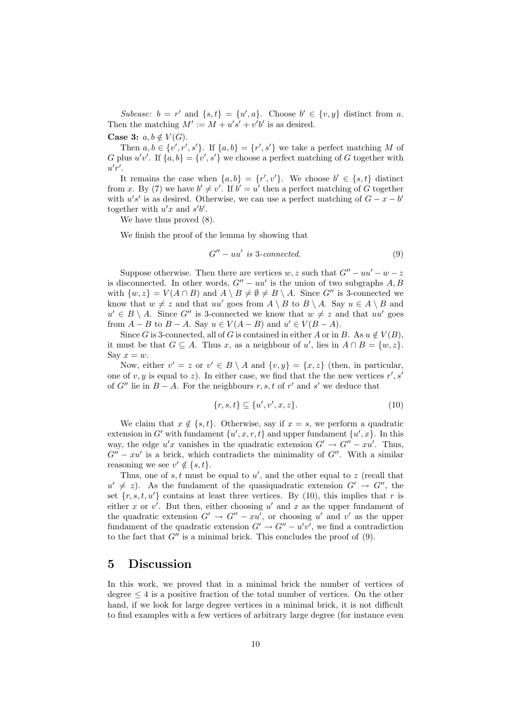Subcase:  $b = r'$  and  $\{s, t\} = \{u', a\}$ . Choose  $b' \in \{v, y\}$  distinct from a. Then the matching  $M' := M + u's' + v'b'$  is as desired.

Case 3:  $a, b \notin V(G)$ .

Then  $a, b \in \{v', r', s'\}$ . If  $\{a, b\} = \{r', s'\}$  we take a perfect matching M of G plus  $u'v'$ . If  $\{a, b\} = \{v', s'\}$  we choose a perfect matching of G together with  $u'r'.$ 

It remains the case when  $\{a, b\} = \{r', v'\}$ . We choose  $b' \in \{s, t\}$  distinct from x. By (7) we have  $b' \neq v'$ . If  $b' = u'$  then a perfect matching of G together with  $u's'$  is as desired. Otherwise, we can use a perfect matching of  $G - x - b'$ together with  $u'x$  and  $s'b'$ .

We have thus proved (8).

We finish the proof of the lemma by showing that

$$
G'' - uu' \text{ is 3-connected.} \tag{9}
$$

Suppose otherwise. Then there are vertices w, z such that  $G'' - uu' - w - z$ is disconnected. In other words,  $G'' - uu'$  is the union of two subgraphs A, B with  $\{w, z\} = V(A \cap B)$  and  $A \setminus B \neq \emptyset \neq B \setminus A$ . Since  $G''$  is 3-connected we know that  $w \neq z$  and that  $uu'$  goes from  $A \setminus B$  to  $B \setminus A$ . Say  $u \in A \setminus B$  and  $u' \in B \setminus A$ . Since G'' is 3-connected we know that  $w \neq z$  and that uu' goes from  $A - B$  to  $B - A$ . Say  $u \in V(A - B)$  and  $u' \in V(B - A)$ .

Since G is 3-connected, all of G is contained in either A or in B. As  $u \notin V(B)$ , it must be that  $G \subseteq A$ . Thus x, as a neighbour of u', lies in  $A \cap B = \{w, z\}$ . Say  $x = w$ .

Now, either  $v' = z$  or  $v' \in B \setminus A$  and  $\{v, y\} = \{x, z\}$  (then, in particular, one of  $v, y$  is equal to z). In either case, we find that the the new vertices  $r', s'$ of  $G''$  lie in  $B - A$ . For the neighbours r, s, t of r' and s' we deduce that

$$
\{r, s, t\} \subseteq \{u', v', x, z\}.
$$
\n
$$
(10)
$$

We claim that  $x \notin \{s, t\}$ . Otherwise, say if  $x = s$ , we perform a quadratic extension in G' with fundament  $\{u', x, r, t\}$  and upper fundament  $\{u', x\}$ . In this way, the edge  $u'x$  vanishes in the quadratic extension  $G' \to G'' - xu'$ . Thus,  $G'' - xu'$  is a brick, which contradicts the minimality of  $G''$ . With a similar reasoning we see  $v' \notin \{s, t\}.$ 

Thus, one of  $s, t$  must be equal to  $u'$ , and the other equal to  $z$  (recall that  $u' \neq z$ ). As the fundament of the quasiquadratic extension  $G' \rightarrow G''$ , the set  $\{r, s, t, u'\}$  contains at least three vertices. By (10), this implies that r is either x or  $v'$ . But then, either choosing  $u'$  and x as the upper fundament of the quadratic extension  $G' \to G'' - xu'$ , or choosing u' and v' as the upper fundament of the quadratic extension  $G' \to G'' - u'v'$ , we find a contradiction to the fact that  $G''$  is a minimal brick. This concludes the proof of  $(9)$ .

### 5 Discussion

In this work, we proved that in a minimal brick the number of vertices of degree  $\leq 4$  is a positive fraction of the total number of vertices. On the other hand, if we look for large degree vertices in a minimal brick, it is not difficult to find examples with a few vertices of arbitrary large degree (for instance even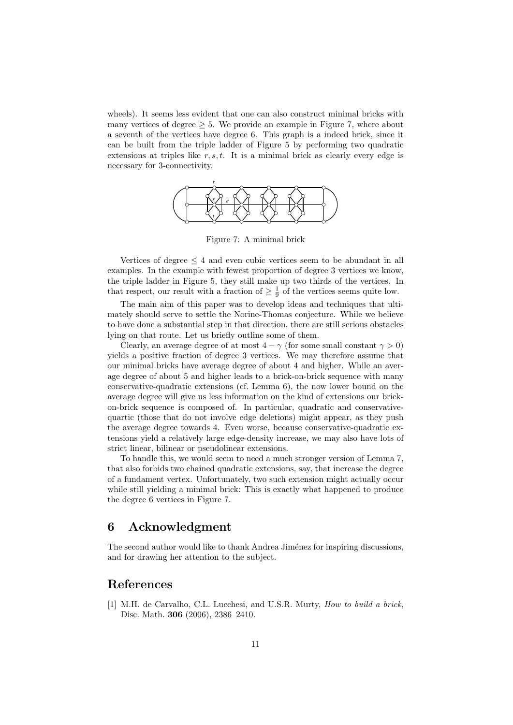wheels). It seems less evident that one can also construct minimal bricks with many vertices of degree  $\geq 5$ . We provide an example in Figure 7, where about a seventh of the vertices have degree 6. This graph is a indeed brick, since it can be built from the triple ladder of Figure 5 by performing two quadratic extensions at triples like  $r, s, t$ . It is a minimal brick as clearly every edge is necessary for 3-connectivity.



Figure 7: A minimal brick

Vertices of degree  $\leq 4$  and even cubic vertices seem to be abundant in all examples. In the example with fewest proportion of degree 3 vertices we know, the triple ladder in Figure 5, they still make up two thirds of the vertices. In that respect, our result with a fraction of  $\geq \frac{1}{9}$  of the vertices seems quite low.

The main aim of this paper was to develop ideas and techniques that ultimately should serve to settle the Norine-Thomas conjecture. While we believe to have done a substantial step in that direction, there are still serious obstacles lying on that route. Let us briefly outline some of them.

Clearly, an average degree of at most  $4 - \gamma$  (for some small constant  $\gamma > 0$ ) yields a positive fraction of degree 3 vertices. We may therefore assume that our minimal bricks have average degree of about 4 and higher. While an average degree of about 5 and higher leads to a brick-on-brick sequence with many conservative-quadratic extensions (cf. Lemma 6), the now lower bound on the average degree will give us less information on the kind of extensions our brickon-brick sequence is composed of. In particular, quadratic and conservativequartic (those that do not involve edge deletions) might appear, as they push the average degree towards 4. Even worse, because conservative-quadratic extensions yield a relatively large edge-density increase, we may also have lots of strict linear, bilinear or pseudolinear extensions.

To handle this, we would seem to need a much stronger version of Lemma 7, that also forbids two chained quadratic extensions, say, that increase the degree of a fundament vertex. Unfortunately, two such extension might actually occur while still yielding a minimal brick: This is exactly what happened to produce the degree 6 vertices in Figure 7.

### 6 Acknowledgment

The second author would like to thank Andrea Jiménez for inspiring discussions, and for drawing her attention to the subject.

# References

[1] M.H. de Carvalho, C.L. Lucchesi, and U.S.R. Murty, How to build a brick, Disc. Math. 306 (2006), 2386–2410.